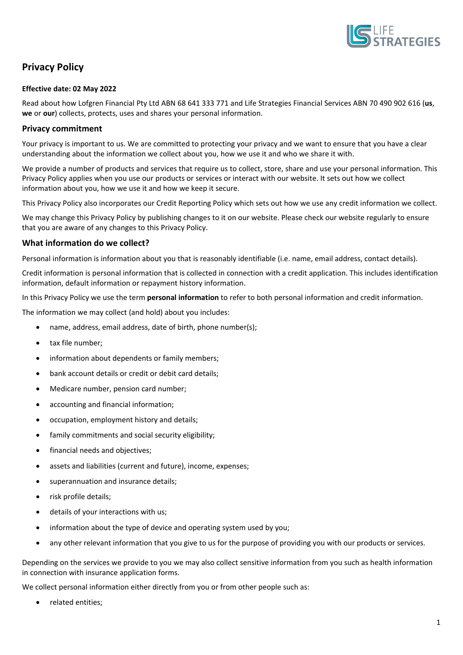

# **Privacy Policy**

#### **Effective date: 02 May 2022**

Read about how Lofgren Financial Pty Ltd ABN 68 641 333 771 and Life Strategies Financial Services ABN 70 490 902 616 (**us**, **we** or **our**) collects, protects, uses and shares your personal information.

#### **Privacy commitment**

Your privacy is important to us. We are committed to protecting your privacy and we want to ensure that you have a clear understanding about the information we collect about you, how we use it and who we share it with.

We provide a number of products and services that require us to collect, store, share and use your personal information. This Privacy Policy applies when you use our products or services or interact with our website. It sets out how we collect information about you, how we use it and how we keep it secure.

This Privacy Policy also incorporates our Credit Reporting Policy which sets out how we use any credit information we collect.

We may change this Privacy Policy by publishing changes to it on our website. Please check our website regularly to ensure that you are aware of any changes to this Privacy Policy.

#### **What information do we collect?**

Personal information is information about you that is reasonably identifiable (i.e. name, email address, contact details).

Credit information is personal information that is collected in connection with a credit application. This includes identification information, default information or repayment history information.

In this Privacy Policy we use the term **personal information** to refer to both personal information and credit information.

The information we may collect (and hold) about you includes:

- name, address, email address, date of birth, phone number(s);
- tax file number;
- information about dependents or family members;
- bank account details or credit or debit card details;
- Medicare number, pension card number;
- accounting and financial information;
- occupation, employment history and details;
- family commitments and social security eligibility;
- financial needs and objectives;
- assets and liabilities (current and future), income, expenses;
- superannuation and insurance details;
- risk profile details;
- details of your interactions with us;
- information about the type of device and operating system used by you;
- any other relevant information that you give to us for the purpose of providing you with our products or services.

Depending on the services we provide to you we may also collect sensitive information from you such as health information in connection with insurance application forms.

We collect personal information either directly from you or from other people such as:

• related entities;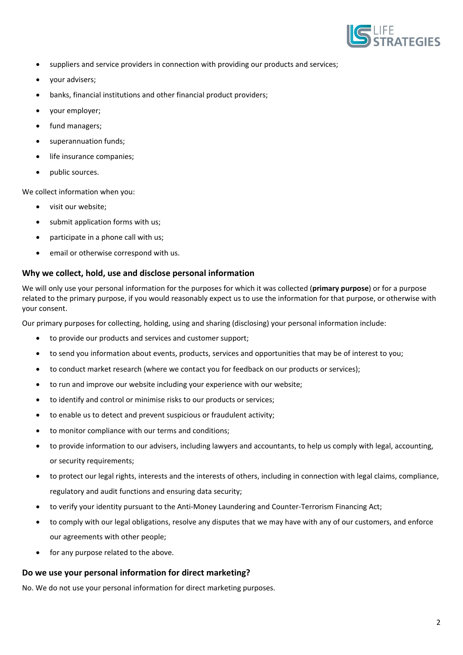

- suppliers and service providers in connection with providing our products and services;
- your advisers;
- banks, financial institutions and other financial product providers;
- your employer;
- fund managers;
- superannuation funds;
- life insurance companies;
- public sources.

We collect information when you:

- visit our website;
- submit application forms with us;
- participate in a phone call with us;
- email or otherwise correspond with us.

## **Why we collect, hold, use and disclose personal information**

We will only use your personal information for the purposes for which it was collected (**primary purpose**) or for a purpose related to the primary purpose, if you would reasonably expect us to use the information for that purpose, or otherwise with your consent.

Our primary purposes for collecting, holding, using and sharing (disclosing) your personal information include:

- to provide our products and services and customer support;
- to send you information about events, products, services and opportunities that may be of interest to you;
- to conduct market research (where we contact you for feedback on our products or services);
- to run and improve our website including your experience with our website;
- to identify and control or minimise risks to our products or services;
- to enable us to detect and prevent suspicious or fraudulent activity;
- to monitor compliance with our terms and conditions;
- to provide information to our advisers, including lawyers and accountants, to help us comply with legal, accounting, or security requirements;
- to protect our legal rights, interests and the interests of others, including in connection with legal claims, compliance, regulatory and audit functions and ensuring data security;
- to verify your identity pursuant to the Anti-Money Laundering and Counter-Terrorism Financing Act;
- to comply with our legal obligations, resolve any disputes that we may have with any of our customers, and enforce our agreements with other people;
- for any purpose related to the above.

#### **Do we use your personal information for direct marketing?**

No. We do not use your personal information for direct marketing purposes.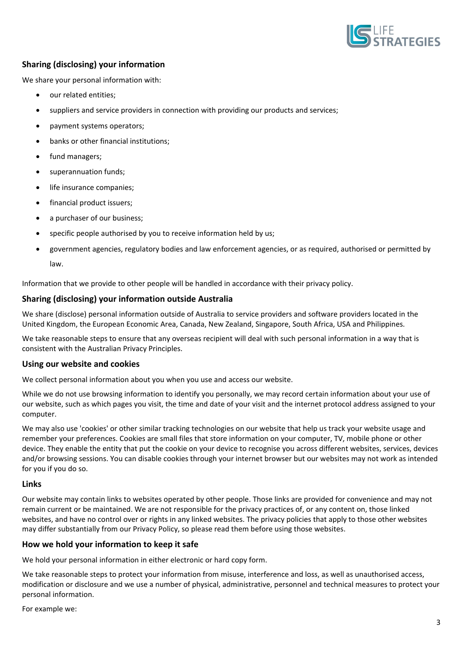

# **Sharing (disclosing) your information**

We share your personal information with:

- our related entities;
- suppliers and service providers in connection with providing our products and services;
- payment systems operators;
- banks or other financial institutions;
- fund managers;
- superannuation funds;
- life insurance companies;
- financial product issuers;
- a purchaser of our business:
- specific people authorised by you to receive information held by us;
- government agencies, regulatory bodies and law enforcement agencies, or as required, authorised or permitted by law.

Information that we provide to other people will be handled in accordance with their privacy policy.

## **Sharing (disclosing) your information outside Australia**

We share (disclose) personal information outside of Australia to service providers and software providers located in the United Kingdom, the European Economic Area, Canada, New Zealand, Singapore, South Africa, USA and Philippines.

We take reasonable steps to ensure that any overseas recipient will deal with such personal information in a way that is consistent with the Australian Privacy Principles.

#### **Using our website and cookies**

We collect personal information about you when you use and access our website.

While we do not use browsing information to identify you personally, we may record certain information about your use of our website, such as which pages you visit, the time and date of your visit and the internet protocol address assigned to your computer.

We may also use 'cookies' or other similar tracking technologies on our website that help us track your website usage and remember your preferences. Cookies are small files that store information on your computer, TV, mobile phone or other device. They enable the entity that put the cookie on your device to recognise you across different websites, services, devices and/or browsing sessions. You can disable cookies through your internet browser but our websites may not work as intended for you if you do so.

#### **Links**

Our website may contain links to websites operated by other people. Those links are provided for convenience and may not remain current or be maintained. We are not responsible for the privacy practices of, or any content on, those linked websites, and have no control over or rights in any linked websites. The privacy policies that apply to those other websites may differ substantially from our Privacy Policy, so please read them before using those websites.

#### **How we hold your information to keep it safe**

We hold your personal information in either electronic or hard copy form.

We take reasonable steps to protect your information from misuse, interference and loss, as well as unauthorised access, modification or disclosure and we use a number of physical, administrative, personnel and technical measures to protect your personal information.

For example we: